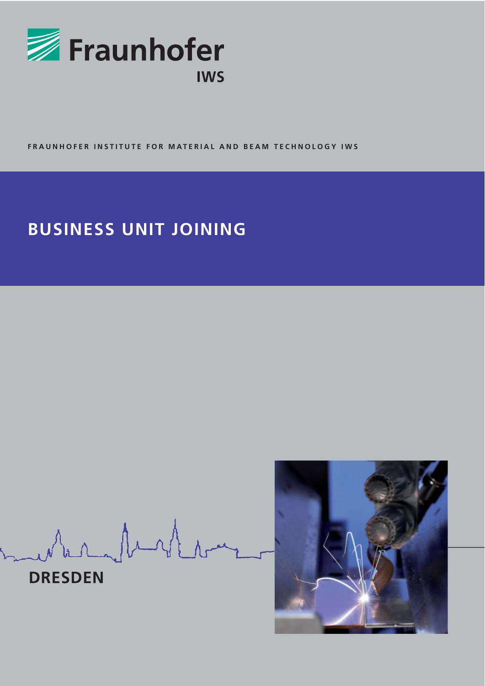

**FRAUNHOFER INSTITUTE FOR MATERIAL AND BEAM TECHNOLOGY IWS**

# **BUSINESS UNIT JOINING**

when buster



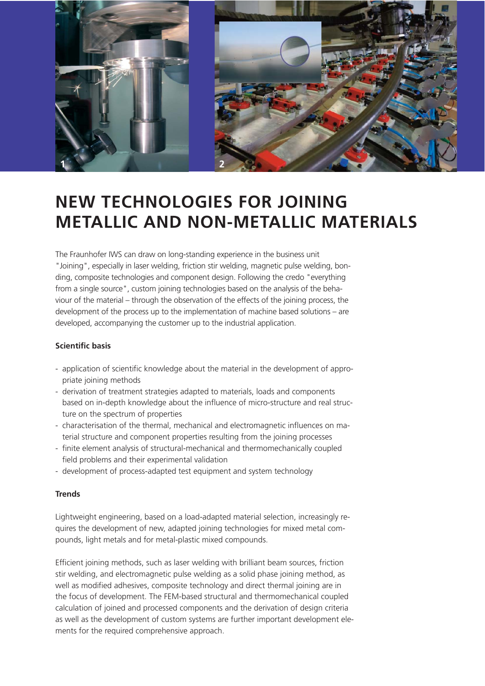

## **NEW TECHNOLOGIES FOR JOINING METALLIC AND NON-METALLIC MATERIALS**

The Fraunhofer IWS can draw on long-standing experience in the business unit "Joining", especially in laser welding, friction stir welding, magnetic pulse welding, bonding, composite technologies and component design. Following the credo "everything from a single source", custom joining technologies based on the analysis of the behaviour of the material – through the observation of the effects of the joining process, the development of the process up to the implementation of machine based solutions – are developed, accompanying the customer up to the industrial application.

#### **Scientific basis**

- application of scientific knowledge about the material in the development of appropriate joining methods
- derivation of treatment strategies adapted to materials, loads and components based on in-depth knowledge about the influence of micro-structure and real structure on the spectrum of properties
- characterisation of the thermal, mechanical and electromagnetic influences on material structure and component properties resulting from the joining processes
- finite element analysis of structural-mechanical and thermomechanically coupled field problems and their experimental validation
- development of process-adapted test equipment and system technology

#### **Trends**

Lightweight engineering, based on a load-adapted material selection, increasingly requires the development of new, adapted joining technologies for mixed metal compounds, light metals and for metal-plastic mixed compounds.

Efficient joining methods, such as laser welding with brilliant beam sources, friction stir welding, and electromagnetic pulse welding as a solid phase joining method, as well as modified adhesives, composite technology and direct thermal joining are in the focus of development. The FEM-based structural and thermomechanical coupled calculation of joined and processed components and the derivation of design criteria as well as the development of custom systems are further important development elements for the required comprehensive approach.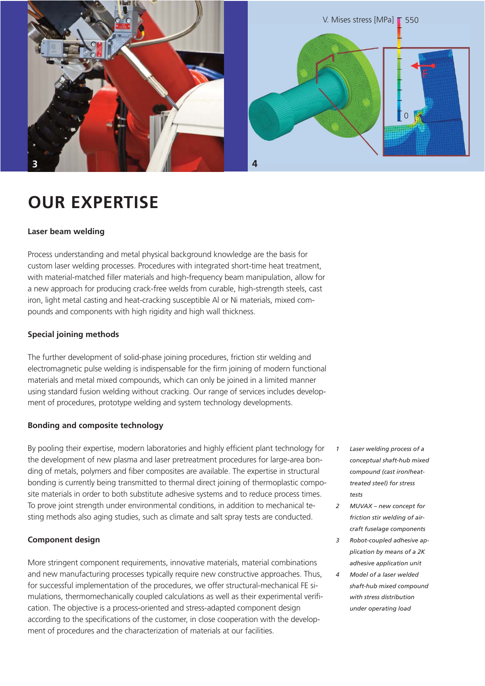

## **OUR EXPERTISE**

#### **Laser beam welding**

Process understanding and metal physical background knowledge are the basis for custom laser welding processes. Procedures with integrated short-time heat treatment, with material-matched filler materials and high-frequency beam manipulation, allow for a new approach for producing crack-free welds from curable, high-strength steels, cast iron, light metal casting and heat-cracking susceptible Al or Ni materials, mixed compounds and components with high rigidity and high wall thickness.

#### **Special joining methods**

The further development of solid-phase joining procedures, friction stir welding and electromagnetic pulse welding is indispensable for the firm joining of modern functional materials and metal mixed compounds, which can only be joined in a limited manner using standard fusion welding without cracking. Our range of services includes development of procedures, prototype welding and system technology developments.

#### **Bonding and composite technology**

By pooling their expertise, modern laboratories and highly efficient plant technology for the development of new plasma and laser pretreatment procedures for large-area bonding of metals, polymers and fiber composites are available. The expertise in structural bonding is currently being transmitted to thermal direct joining of thermoplastic composite materials in order to both substitute adhesive systems and to reduce process times. To prove joint strength under environmental conditions, in addition to mechanical testing methods also aging studies, such as climate and salt spray tests are conducted.

#### **Component design**

More stringent component requirements, innovative materials, material combinations and new manufacturing processes typically require new constructive approaches. Thus, for successful implementation of the procedures, we offer structural-mechanical FE simulations, thermomechanically coupled calculations as well as their experimental verification. The objective is a process-oriented and stress-adapted component design according to the specifications of the customer, in close cooperation with the development of procedures and the characterization of materials at our facilities.

- *1 Laser welding process of a conceptual shaft-hub mixed compound (cast iron/heattreated steel) for stress tests*
- *2 MUVAX new concept for friction stir welding of aircraft fuselage components*
- *3 Robot-coupled adhesive application by means of a 2K adhesive application unit*
- *4 Model of a laser welded shaft-hub mixed compound with stress distribution under operating load*